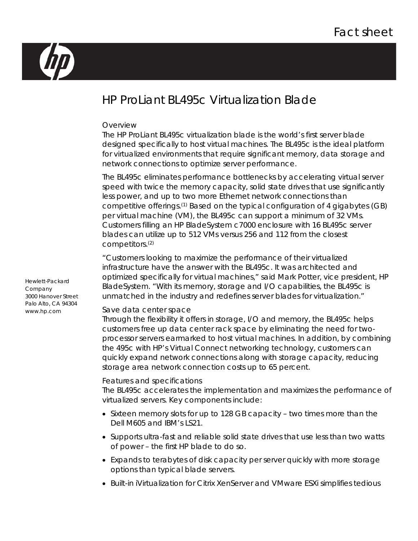

# HP ProLiant BL495c Virtualization Blade

#### Overview

The HP ProLiant BL495c virtualization blade is the world's first server blade designed specifically to host virtual machines. The BL495c is the ideal platform for virtualized environments that require significant memory, data storage and network connections to optimize server performance.

The BL495c eliminates performance bottlenecks by accelerating virtual server speed with twice the memory capacity, solid state drives that use significantly less power, and up to two more Ethernet network connections than competitive offerings.(1) Based on the typical configuration of 4 gigabytes (GB) per virtual machine (VM), the BL495c can support a minimum of 32 VMs. Customers filling an HP BladeSystem c7000 enclosure with 16 BL495c server blades can utilize up to 512 VMs versus 256 and 112 from the closest competitors.(2)

"Customers looking to maximize the performance of their virtualized infrastructure have the answer with the BL495c. It was architected and optimized specifically for virtual machines," said Mark Potter, vice president, HP BladeSystem. "With its memory, storage and I/O capabilities, the BL495c is unmatched in the industry and redefines server blades for virtualization."

## Save data center space

Through the flexibility it offers in storage, I/O and memory, the BL495c helps customers free up data center rack space by eliminating the need for twoprocessor servers earmarked to host virtual machines. In addition, by combining the 495c with HP's Virtual Connect networking technology, customers can quickly expand network connections along with storage capacity, reducing storage area network connection costs up to 65 percent.

## Features and specifications

The BL495c accelerates the implementation and maximizes the performance of virtualized servers. Key components include:

- Sixteen memory slots for up to 128 GB capacity two times more than the Dell M605 and IBM's LS21.
- Supports ultra-fast and reliable solid state drives that use less than two watts of power – the first HP blade to do so.
- Expands to terabytes of disk capacity per server quickly with more storage options than typical blade servers.
- Built-in iVirtualization for Citrix XenServer and VMware ESXi simplifies tedious

Hewlett-Packard Company 3000 Hanover Street Palo Alto, CA 94304 www.hp.com